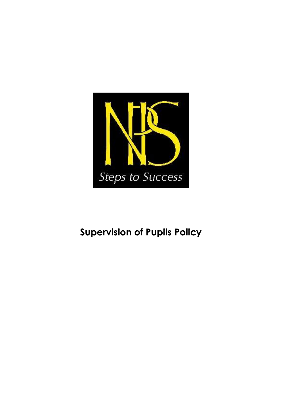

# **Supervision of Pupils Policy**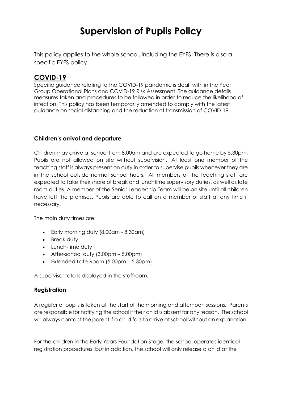# **Supervision of Pupils Policy**

This policy applies to the whole school, including the EYFS. There is also a specific EYFS policy.

# **COVID-19**

Specific guidance relating to the COVID-19 pandemic is dealt with in the Year Group Operational Plans and COVID-19 Risk Assessment. The guidance details measures taken and procedures to be followed in order to reduce the likelihood of infection. This policy has been temporarily amended to comply with the latest guidance on social distancing and the reduction of transmission of COVID-19.

#### **Children's arrival and departure**

Children may arrive at school from 8.00am and are expected to go home by 5.30pm. Pupils are not allowed on site without supervision. At least one member of the teaching staff is always present on duty in order to supervise pupils whenever they are in the school outside normal school hours. All members of the teaching staff are expected to take their share of break and lunchtime supervisory duties, as well as late room duties. A member of the Senior Leadership Team will be on site until all children have left the premises. Pupils are able to call on a member of staff at any time if necessary.

The main duty times are:

- Early morning duty (8.00am 8.30am)
- Break duty
- Lunch-time duty
- After-school duty  $(3.00 \text{pm} 5.00 \text{pm})$
- Extended Late Room (5.00pm 5.30pm)

A supervisor rota is displayed in the staffroom.

#### **Registration**

A register of pupils is taken at the start of the morning and afternoon sessions. Parents are responsible for notifying the school if their child is absent for any reason. The school will always contact the parent if a child fails to arrive at school without an explanation.

For the children in the Early Years Foundation Stage, the school operates identical registration procedures; but in addition, the school will only release a child at the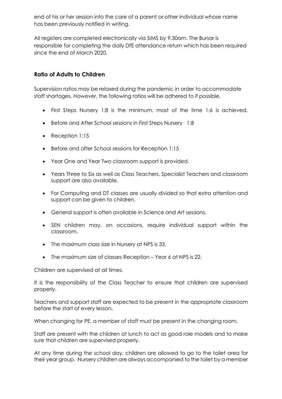end of his or her session into the care of a parent or other individual whose name has been previously notified in writing.

All registers are completed electronically via SIMS by 9.30am. The Bursar is responsible for completing the daily DfE attendance return which has been required since the end of March 2020.

### **Ratio of Adults to Children**

Supervision ratios may be relaxed during the pandemic in order to accommodate staff shortages. However, the following ratios will be adhered to if possible.

- First Steps Nursery 1:8 is the minimum, most of the time 1:6 is achieved.
- Before and After School sessions in First Steps Nursery 1:8
- Reception 1:15
- Before and after School sessions for Reception 1:15
- Year One and Year Two classroom support is provided.
- Years Three to Six as well as Class Teachers, Specialist Teachers and classroom support are also available.
- For Computing and DT classes are usually divided so that extra attention and support can be given to children.
- General support is often available in Science and Art sessions.
- SEN children may, on occasions, require individual support within the classroom.
- The maximum class size in Nursery at NPS is 33.
- The maximum size of classes Reception Year 6 at NPS is 22.

Children are supervised at all times.

It is the responsibility of the Class Teacher to ensure that children are supervised properly.

Teachers and support staff are expected to be present in the appropriate classroom before the start of every lesson.

When changing for PE, a member of staff must be present in the changing room.

Staff are present with the children at lunch to act as good role models and to make sure that children are supervised properly.

At any time during the school day, children are allowed to go to the toilet area for their year group. Nursery children are always accompanied to the toilet by a member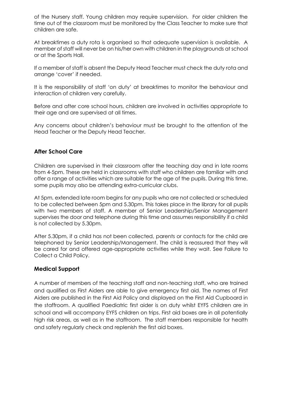of the Nursery staff. Young children may require supervision. For older children the time out of the classroom must be monitored by the Class Teacher to make sure that children are safe.

At breaktimes a duty rota is organised so that adequate supervision is available. A member of staff will never be on his/her own with children in the playgrounds at school or at the Sports Hall.

If a member of staff is absent the Deputy Head Teacher must check the duty rota and arrange 'cover' if needed.

It is the responsibility of staff 'on duty' at breaktimes to monitor the behaviour and interaction of children very carefully.

Before and after core school hours, children are involved in activities appropriate to their age and are supervised at all times.

Any concerns about children's behaviour must be brought to the attention of the Head Teacher or the Deputy Head Teacher.

#### **After School Care**

Children are supervised in their classroom after the teaching day and in late rooms from 4-5pm. These are held in classrooms with staff who children are familiar with and offer a range of activities which are suitable for the age of the pupils. During this time, some pupils may also be attending extra-curricular clubs.

At 5pm, extended late room begins for any pupils who are not collected or scheduled to be collected between 5pm and 5.30pm. This takes place in the library for all pupils with two members of staff. A member of Senior Leadership/Senior Management supervises the door and telephone during this time and assumes responsibility if a child is not collected by 5.30pm.

After 5.30pm, if a child has not been collected, parents or contacts for the child are telephoned by Senior Leadership/Management. The child is reassured that they will be cared for and offered age-appropriate activities while they wait. See Failure to Collect a Child Policy.

#### **Medical Support**

A number of members of the teaching staff and non-teaching staff, who are trained and qualified as First Aiders are able to give emergency first aid. The names of First Aiders are published in the First Aid Policy and displayed on the First Aid Cupboard in the staffroom. A qualified Paediatric first aider is on duty whilst EYFS children are in school and will accompany EYFS children on trips. First aid boxes are in all potentially high risk areas, as well as in the staffroom. The staff members responsible for health and safety regularly check and replenish the first aid boxes.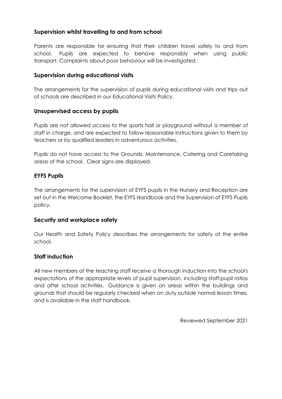#### **Supervision whilst travelling to and from school**

Parents are responsible for ensuring that their children travel safely to and from school. Pupils are expected to behave responsibly when using public transport. Complaints about poor behaviour will be investigated.

### **Supervision during educational visits**

The arrangements for the supervision of pupils during educational visits and trips out of schools are described in our Educational Visits Policy.

#### **Unsupervised access by pupils**

Pupils are not allowed access to the sports hall or playground without a member of staff in charge, and are expected to follow reasonable instructions given to them by teachers or by qualified leaders in adventurous activities.

Pupils do not have access to the Grounds, Maintenance, Catering and Caretaking areas of the school. Clear signs are displayed.

## **EYFS Pupils**

The arrangements for the supervision of EYFS pupils in the Nursery and Reception are set out in the Welcome Booklet, the EYFS Handbook and the Supervision of EYFS Pupils policy.

#### **Security and workplace safety**

Our Health and Safety Policy describes the arrangements for safety of the entire school.

## **Staff induction**

All new members of the teaching staff receive a thorough induction into the school's expectations of the appropriate levels of pupil supervision, including staff:pupil ratios and after school activities. Guidance is given on areas within the buildings and grounds that should be regularly checked when on duty outside normal lesson times, and is available in the staff handbook.

Reviewed September 2021